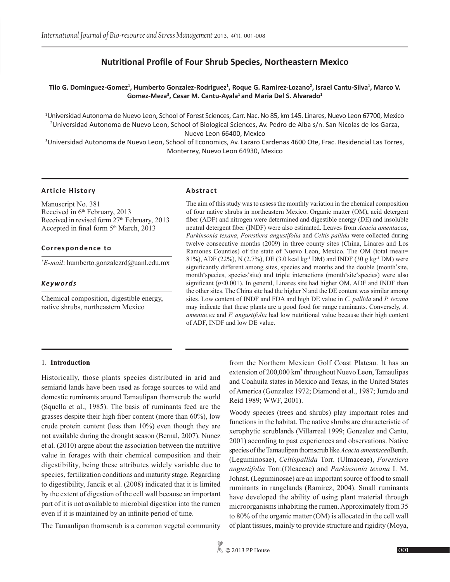# **Nutritional Profile of Four Shrub Species, Northeastern Mexico**

# **Tilo G. Dominguez-Gomez<sup>1</sup> , Humberto Gonzalez-Rodriguez<sup>1</sup> , Roque G. Ramirez-Lozano<sup>2</sup> , Israel Cantu-Silva<sup>1</sup> , Marco V.**  Gomez-Meza<sup>3</sup>, Cesar M. Cantu-Ayala<sup>1</sup> and Maria Del S. Alvarado<sup>1</sup>

1 Universidad Autonoma de Nuevo Leon, School of Forest Sciences, Carr. Nac. No 85, km 145. Linares, Nuevo Leon 67700, Mexico 2 Universidad Autonoma de Nuevo Leon, School of Biological Sciences, Av. Pedro de Alba s/n. San Nicolas de los Garza, Nuevo Leon 66400, Mexico

3 Universidad Autonoma de Nuevo Leon, School of Economics, Av. Lazaro Cardenas 4600 Ote, Frac. Residencial Las Torres, Monterrey, Nuevo Leon 64930, Mexico

# **Article History Abstract**

Manuscript No. 381 Received in 6<sup>th</sup> February, 2013 Received in revised form 27<sup>th</sup> February, 2013 Accepted in final form 5<sup>th</sup> March, 2013

# **Correspondence to**

*\* E-mail*: humberto.gonzalezrd@uanl.edu.mx

# *Keywords*

Chemical composition, digestible energy, native shrubs, northeastern Mexico

The aim of this study was to assess the monthly variation in the chemical composition of four native shrubs in northeastern Mexico. Organic matter (OM), acid detergent fiber (ADF) and nitrogen were determined and digestible energy (DE) and insoluble neutral detergent fiber (INDF) were also estimated. Leaves from *Acacia amentacea*, *Parkinsonia texana*, *Forestiera angustifolia* and *Celtis pallida* were collected during twelve consecutive months (2009) in three county sites (China, Linares and Los Ramones Counties) of the state of Nuevo Leon, Mexico. The OM (total mean= 81%), ADF (22%), N (2.7%), DE (3.0 kcal kg-1 DM) and INDF (30 g kg-1 DM) were significantly different among sites, species and months and the double (month\* site, month\* species, species\* site) and triple interactions (month\* site\* species) were also significant (*p*<0.001). In general, Linares site had higher OM, ADF and INDF than the other sites. The China site had the higher N and the DE content was similar among sites. Low content of INDF and FDA and high DE value in *C. pallida* and *P. texana* may indicate that these plants are a good food for range ruminants. Conversely, *A. amentacea* and *F. angustifolia* had low nutritional value because their high content of ADF, INDF and low DE value.

# 1. **Introduction**

Historically, those plants species distributed in arid and semiarid lands have been used as forage sources to wild and domestic ruminants around Tamaulipan thornscrub the world (Squella et al., 1985). The basis of ruminants feed are the grasses despite their high fiber content (more than 60%), low crude protein content (less than 10%) even though they are not available during the drought season (Bernal, 2007). Nunez et al. (2010) argue about the association between the nutritive value in forages with their chemical composition and their digestibility, being these attributes widely variable due to species, fertilization conditions and maturity stage. Regarding to digestibility, Jancik et al. (2008) indicated that it is limited by the extent of digestion of the cell wall because an important part of it is not available to microbial digestion into the rumen even if it is maintained by an infinite period of time.

The Tamaulipan thornscrub is a common vegetal community

from the Northern Mexican Golf Coast Plateau. It has an extension of 200,000 km<sup>2</sup> throughout Nuevo Leon, Tamaulipas and Coahuila states in Mexico and Texas, in the United States of America (Gonzalez 1972; Diamond et al., 1987; Jurado and Reid 1989; WWF, 2001).

Woody species (trees and shrubs) play important roles and functions in the habitat. The native shrubs are characteristic of xerophytic scrublands (Villarreal 1999; Gonzalez and Cantu, 2001) according to past experiences and observations. Native species of the Tamaulipan thornscrub like *Acacia amentacea*Benth. (Leguminosae), *Celtispallida* Torr. (Ulmaceae), *Forestiera angustifolia* Torr.(Oleaceae) and *Parkinsonia texana* I. M. Johnst. (Leguminosae) are an important source of food to small ruminants in rangelands (Ramirez, 2004). Small ruminants have developed the ability of using plant material through microorganisms inhabiting the rumen. Approximately from 35 to 80% of the organic matter (OM) is allocated in the cell wall of plant tissues, mainly to provide structure and rigidity (Moya,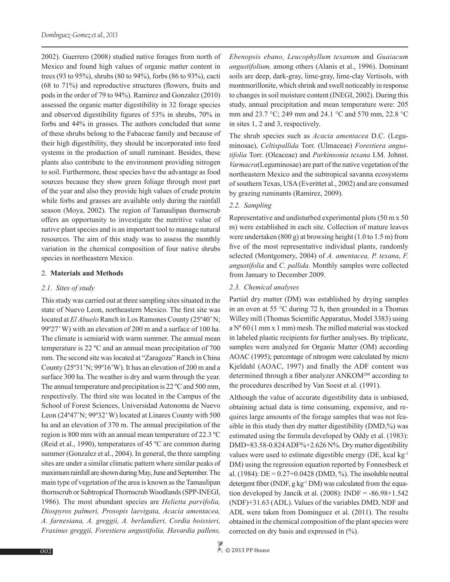2002). Guerrero (2008) studied native forages from north of Mexico and found high values of organic matter content in trees (93 to 95%), shrubs (80 to 94%), forbs (86 to 93%), cacti (68 to 71%) and reproductive structures (flowers, fruits and pods in the order of 79 to 94%). Ramirez and Gonzalez (2010) assessed the organic matter digestibility in 32 forage species and observed digestibility figures of 53% in shrubs, 70% in forbs and 44% in grasses. The authors concluded that some of these shrubs belong to the Fabaceae family and because of their high digestibility, they should be incorporated into feed systems in the production of small ruminant. Besides, these plants also contribute to the environment providing nitrogen to soil. Furthermore, these species have the advantage as food sources because they show green foliage through most part of the year and also they provide high values of crude protein while forbs and grasses are available only during the rainfall season (Moya, 2002). The region of Tamaulipan thornscrub offers an opportunity to investigate the nutritive value of native plant species and is an important tool to manage natural resources. The aim of this study was to assess the monthly variation in the chemical composition of four native shrubs species in northeastern Mexico.

#### 2. **Materials and Methods**

#### *2.1. Sites of study*

This study was carried out at three sampling sites situated in the state of Nuevo Leon, northeastern Mexico. The first site was located at *El Abuelo* Ranch in Los Ramones County (25º40' N; 99º27' W) with an elevation of 200 m and a surface of 100 ha. The climate is semiarid with warm summer. The annual mean temperature is 22 ºC and an annual mean precipitation of 700 mm. The second site was located at "Zaragoza" Ranch in China County (25º31'N; 99º16'W). It has an elevation of 200 m and a surface 300 ha. The weather is dry and warm through the year. The annual temperature and precipitation is 22 °C and 500 mm, respectively. The third site was located in the Campus of the School of Forest Sciences, Universidad Autonoma de Nuevo Leon (24º47'N; 99º32' W) located at Linares County with 500 ha and an elevation of 370 m. The annual precipitation of the region is 800 mm with an annual mean temperature of 22.3 ºC (Reid et al., 1990), temperatures of 45 ºC are common during summer (Gonzalez et al., 2004). In general, the three sampling sites are under a similar climatic pattern where similar peaks of maximum rainfall are shown during May, June and September. The main type of vegetation of the area is known as the Tamaulipan thornscrub or Subtropical Thornscrub Woodlands (SPP-INEGI, 1986). The most abundant species are *Helietta parvifolia, Diospyros palmeri, Prosopis laevigata, Acacia amentacea, A. farnesiana, A. greggii, A. berlandieri, Cordia boissieri, Fraxinus greggii, Forestiera angustifolia, Havardia pallens,* 

*Ebenopsis ebano, Leucophyllum texanum* and *Guaiacum angustifolium,* among others (Alanis et al., 1996). Dominant soils are deep, dark-gray, lime-gray, lime-clay Vertisols, with montmorillonite, which shrink and swell noticeably in response to changes in soil moisture content (INEGI, 2002). During this study, annual precipitation and mean temperature were: 205 mm and 23.7 °C; 249 mm and 24.1 °C and 570 mm, 22.8 °C in sites 1, 2 and 3, respectively.

The shrub species such as *Acacia amentacea* D.C. (Leguminosae), *Celtispallida* Torr. (Ulmaceae) *Forestiera angustifolia* Torr. (Oleaceae) and *Parkinsonia texana* I.M. Johnst. *Varmacra*(Leguminosae) are part of the native vegetation of the northeastern Mexico and the subtropical savanna ecosystems of southern Texas, USA (Everittet al., 2002) and are consumed by grazing ruminants (Ramirez, 2009).

# *2.2. Sampling*

Representative and undisturbed experimental plots (50 m x 50 m) were established in each site. Collection of mature leaves were undertaken (800 g) at browsing height (1.0 to 1.5 m) from five of the most representative individual plants, randomly selected (Montgomery, 2004) of *A. amentacea, P. texana*, *F. angustifolia* and *C. pallida*. Monthly samples were collected from January to December 2009.

# *2.3. Chemical analyses*

Partial dry matter (DM) was established by drying samples in an oven at 55 °C during 72 h, then grounded in a Thomas Willey mill (Thomas Scientific Apparatus, Model 3383) using a Nº 60 (1 mm x 1 mm) mesh. The milled material was stocked in labeled plastic recipients for further analyses. By triplicate, samples were analyzed for Organic Matter (OM) according AOAC (1995); percentage of nitrogen were calculated by micro Kjeldahl (AOAC, 1997) and finally the ADF content was determined through a fiber analyzer ANKOM<sup>200</sup> according to the procedures described by Van Soest et al. (1991).

Although the value of accurate digestibility data is unbiased, obtaining actual data is time consuming, expensive, and requires large amounts of the forage samples that was not feasible in this study then dry matter digestibility (DMD,%) was estimated using the formula developed by Oddy et al. (1983): DMD=83.58-0.824 ADF%+2.626 N%. Dry matter digestibility values were used to estimate digestible energy (DE, kcal kg-1 DM) using the regression equation reported by Fonnesbeck et al. (1984): DE =  $0.27+0.0428$  (DMD, %). The insoluble neutral detergent fiber (INDF, g kg<sup>-1</sup> DM) was calculated from the equation developed by Jancik et al.  $(2008)$ : INDF = -86.98+1.542 (NDF)+31.63 (ADL). Values of the variables DMD, NDF and ADL were taken from Dominguez et al. (2011). The results obtained in the chemical composition of the plant species were corrected on dry basis and expressed in (%).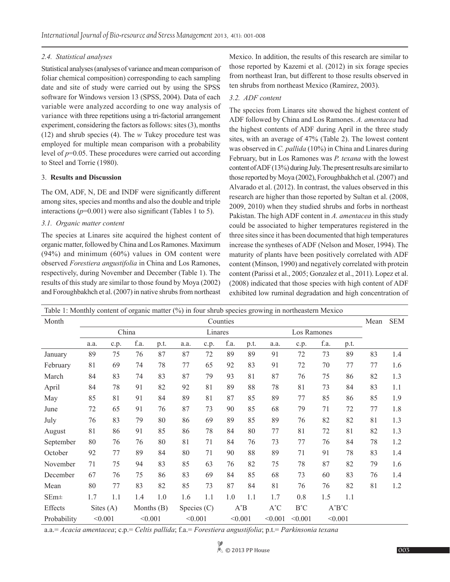# *2.4. Statistical analyses*

Statistical analyses (analyses of variance and mean comparison of foliar chemical composition) corresponding to each sampling date and site of study were carried out by using the SPSS software for Windows version 13 (SPSS, 2004). Data of each variable were analyzed according to one way analysis of variance with three repetitions using a tri-factorial arrangement experiment, considering the factors as follows: sites (3), months (12) and shrub species (4). The *w* Tukey procedure test was employed for multiple mean comparison with a probability level of *p*=0.05. These procedures were carried out according to Steel and Torrie (1980).

# 3. **Results and Discussion**

The OM, ADF, N, DE and INDF were significantly different among sites, species and months and also the double and triple interactions  $(p=0.001)$  were also significant (Tables 1 to 5).

# *3.1. Organic matter content*

The species at Linares site acquired the highest content of organic matter, followed by China and Los Ramones. Maximum (94%) and minimum (60%) values in OM content were observed *Forestiera angustifolia* in China and Los Ramones, respectively, during November and December (Table 1). The results of this study are similar to those found by Moya (2002) and Foroughbakhch et al. (2007) in native shrubs from northeast

Mexico. In addition, the results of this research are similar to those reported by Kazemi et al. (2012) in six forage species from northeast Iran, but different to those results observed in ten shrubs from northeast Mexico (Ramirez, 2003).

# *3.2. ADF content*

The species from Linares site showed the highest content of ADF followed by China and Los Ramones. *A. amentacea* had the highest contents of ADF during April in the three study sites, with an average of 47% (Table 2). The lowest content was observed in *C. pallida* (10%) in China and Linares during February, but in Los Ramones was *P. texana* with the lowest content of ADF (13%) during July. The present results are similar to those reported by Moya (2002), Foroughbakhch et al. (2007) and Alvarado et al. (2012). In contrast, the values observed in this research are higher than those reported by Sultan et al. (2008, 2009, 2010) when they studied shrubs and forbs in northeast Pakistan. The high ADF content in *A. amentacea* in this study could be associated to higher temperatures registered in the three sites since it has been documented that high temperatures increase the syntheses of ADF (Nelson and Moser, 1994). The maturity of plants have been positively correlated with ADF content (Minson, 1990) and negatively correlated with protein content (Parissi et al., 2005; Gonzalez et al., 2011). Lopez et al. (2008) indicated that those species with high content of ADF exhibited low ruminal degradation and high concentration of

| Table 1: Monthly content of organic matter $(\%)$ in four shrub species growing in northeastern Mexico |         |             |              |      |               |      |         |      |                    |             |           |      |    |     |
|--------------------------------------------------------------------------------------------------------|---------|-------------|--------------|------|---------------|------|---------|------|--------------------|-------------|-----------|------|----|-----|
| Month                                                                                                  |         | Mean        | <b>SEM</b>   |      |               |      |         |      |                    |             |           |      |    |     |
|                                                                                                        | China   |             |              |      | Linares       |      |         |      |                    | Los Ramones |           |      |    |     |
|                                                                                                        | a.a.    | c.p.        | f.a.         | p.t. | a.a.          | c.p. | f.a.    | p.t. | a.a.               | c.p.        | f.a.      | p.t. |    |     |
| January                                                                                                | 89      | 75          | 76           | 87   | 87            | 72   | 89      | 89   | 91                 | 72          | 73        | 89   | 83 | 1.4 |
| February                                                                                               | 81      | 69          | 74           | 78   | 77            | 65   | 92      | 83   | 91                 | 72          | 70        | 77   | 77 | 1.6 |
| March                                                                                                  | 84      | 83          | 74           | 83   | 87            | 79   | 93      | 81   | 87                 | 76          | 75        | 86   | 82 | 1.3 |
| April                                                                                                  | 84      | 78          | 91           | 82   | 92            | 81   | 89      | 88   | 78                 | 81          | 73        | 84   | 83 | 1.1 |
| May                                                                                                    | 85      | 81          | 91           | 84   | 89            | 81   | 87      | 85   | 89                 | 77          | 85        | 86   | 85 | 1.9 |
| June                                                                                                   | 72      | 65          | 91           | 76   | 87            | 73   | 90      | 85   | 68                 | 79          | 71        | 72   | 77 | 1.8 |
| July                                                                                                   | 76      | 83          | 79           | 80   | 86            | 69   | 89      | 85   | 89                 | 76          | 82        | 82   | 81 | 1.3 |
| August                                                                                                 | 81      | 86          | 91           | 85   | 86            | 78   | 84      | 80   | 77                 | 81          | 72        | 81   | 82 | 1.3 |
| September                                                                                              | 80      | 76          | 76           | 80   | 81            | 71   | 84      | 76   | 73                 | 77          | 76        | 84   | 78 | 1.2 |
| October                                                                                                | 92      | 77          | 89           | 84   | 80            | 71   | 90      | 88   | 89                 | 71          | 91        | 78   | 83 | 1.4 |
| November                                                                                               | 71      | 75          | 94           | 83   | 85            | 63   | 76      | 82   | 75                 | 78          | 87        | 82   | 79 | 1.6 |
| December                                                                                               | 67      | 76          | 75           | 86   | 83            | 69   | 84      | 85   | 68                 | 73          | 60        | 83   | 76 | 1.4 |
| Mean                                                                                                   | 80      | 77          | 83           | 82   | 85            | 73   | 87      | 84   | 81                 | 76          | 76        | 82   | 81 | 1.2 |
| $SEm\pm$                                                                                               | 1.7     | 1.1         | 1.4          | 1.0  | 1.6           | 1.1  | 1.0     | 1.1  | 1.7                | 0.8         | 1.5       | 1.1  |    |     |
| Effects                                                                                                |         | Sites $(A)$ | Months $(B)$ |      | Species $(C)$ |      | $A^*B$  |      | $A^*C$<br>$B^*C$   |             | $A^*B^*C$ |      |    |     |
| Probability                                                                                            | < 0.001 |             | < 0.001      |      | < 0.001       |      | < 0.001 |      | < 0.001<br>< 0.001 |             | < 0.001   |      |    |     |

a.a.= *Acacia amentacea*; c.p.= *Celtis pallida*; f.a.= *Forestiera angustifolia*; p.t.= *Parkinsonia texana*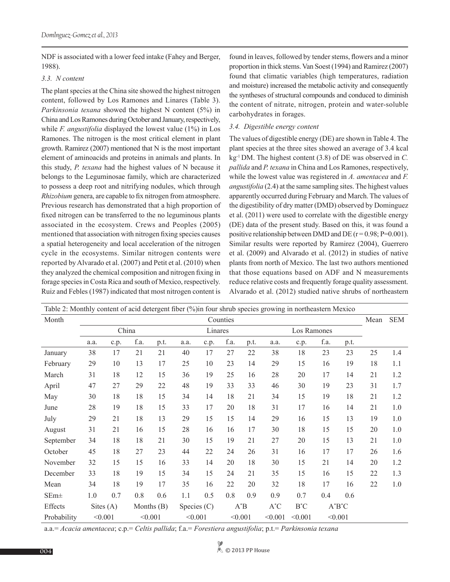NDF is associated with a lower feed intake (Fahey and Berger, 1988).

# *3.3. N content*

The plant species at the China site showed the highest nitrogen content, followed by Los Ramones and Linares (Table 3). *Parkinsonia texana* showed the highest N content (5%) in China and Los Ramones during October and January, respectively, while *F. angustifolia* displayed the lowest value (1%) in Los Ramones. The nitrogen is the most critical element in plant growth. Ramirez (2007) mentioned that N is the most important element of aminoacids and proteins in animals and plants. In this study, *P. texana* had the highest values of N because it belongs to the Leguminosae family, which are characterized to possess a deep root and nitrifying nodules, which through *Rhizobium* genera, are capable to fix nitrogen from atmosphere. Previous research has demonstrated that a high proportion of fixed nitrogen can be transferred to the no leguminous plants associated in the ecosystem. Crews and Peoples (2005) mentioned that association with nitrogen fixing species causes a spatial heterogeneity and local acceleration of the nitrogen cycle in the ecosystems. Similar nitrogen contents were reported by Alvarado et al. (2007) and Petit et al. (2010) when they analyzed the chemical composition and nitrogen fixing in forage species in Costa Rica and south of Mexico, respectively. Ruiz and Febles (1987) indicated that most nitrogen content is

found in leaves, followed by tender stems, flowers and a minor proportion in thick stems. Van Soest (1994) and Ramirez (2007) found that climatic variables (high temperatures, radiation and moisture) increased the metabolic activity and consequently the syntheses of structural compounds and conduced to diminish the content of nitrate, nitrogen, protein and water-soluble carbohydrates in forages.

# *3.4. Digestible energy content*

The values of digestible energy (DE) are shown in Table 4. The plant species at the three sites showed an average of 3.4 kcal kg-1 DM. The highest content (3.8) of DE was observed in *C. pallida* and *P. texana* in China and Los Ramones, respectively, while the lowest value was registered in *A. amentacea* and *F. angustifolia* (2.4) at the same sampling sites. The highest values apparently occurred during February and March. The values of the digestibility of dry matter (DMD) observed by Dominguez et al. (2011) were used to correlate with the digestible energy (DE) data of the present study. Based on this, it was found a positive relationship between DMD and DE  $(r = 0.98; P = 0.001)$ . Similar results were reported by Ramirez (2004), Guerrero et al. (2009) and Alvarado et al. (2012) in studies of native plants from north of Mexico. The last two authors mentioned that those equations based on ADF and N measurements reduce relative costs and frequently forage quality assessment. Alvarado et al. (2012) studied native shrubs of northeastern

| Table 2: Monthly content of acid detergent fiber (%) in four shrub species growing in northeastern Mexico |          |             |         |              |               |      |         |      |                    |             |           |      |            |     |
|-----------------------------------------------------------------------------------------------------------|----------|-------------|---------|--------------|---------------|------|---------|------|--------------------|-------------|-----------|------|------------|-----|
| Month                                                                                                     | Counties |             |         |              |               |      |         |      |                    |             |           | Mean | <b>SEM</b> |     |
|                                                                                                           |          |             | China   |              | Linares       |      |         |      |                    | Los Ramones |           |      |            |     |
|                                                                                                           | a.a.     | c.p.        | f.a.    | p.t.         | a.a.          | c.p. | f.a.    | p.t. | a.a.               | c.p.        | f.a.      | p.t. |            |     |
| January                                                                                                   | 38       | 17          | 21      | 21           | 40            | 17   | 27      | 22   | 38                 | 18          | 23        | 23   | 25         | 1.4 |
| February                                                                                                  | 29       | 10          | 13      | 17           | 25            | 10   | 23      | 14   | 29                 | 15          | 16        | 19   | 18         | 1.1 |
| March                                                                                                     | 31       | 18          | 12      | 15           | 36            | 19   | 25      | 16   | 28                 | 20          | 17        | 14   | 21         | 1.2 |
| April                                                                                                     | 47       | 27          | 29      | 22           | 48            | 19   | 33      | 33   | 46                 | 30          | 19        | 23   | 31         | 1.7 |
| May                                                                                                       | 30       | 18          | 18      | 15           | 34            | 14   | 18      | 21   | 34                 | 15          | 19        | 18   | 21         | 1.2 |
| June                                                                                                      | 28       | 19          | 18      | 15           | 33            | 17   | 20      | 18   | 31                 | 17          | 16        | 14   | 21         | 1.0 |
| July                                                                                                      | 29       | 21          | 18      | 13           | 29            | 15   | 15      | 14   | 29                 | 16          | 15        | 13   | 19         | 1.0 |
| August                                                                                                    | 31       | 21          | 16      | 15           | 28            | 16   | 16      | 17   | 30                 | 18          | 15        | 15   | 20         | 1.0 |
| September                                                                                                 | 34       | 18          | 18      | 21           | 30            | 15   | 19      | 21   | 27                 | 20          | 15        | 13   | 21         | 1.0 |
| October                                                                                                   | 45       | 18          | 27      | 23           | 44            | 22   | 24      | 26   | 31                 | 16          | 17        | 17   | 26         | 1.6 |
| November                                                                                                  | 32       | 15          | 15      | 16           | 33            | 14   | 20      | 18   | 30                 | 15          | 21        | 14   | 20         | 1.2 |
| December                                                                                                  | 33       | 18          | 19      | 15           | 34            | 15   | 24      | 21   | 35                 | 15          | 16        | 15   | 22         | 1.3 |
| Mean                                                                                                      | 34       | 18          | 19      | 17           | 35            | 16   | 22      | 20   | 32                 | 18          | 17        | 16   | 22         | 1.0 |
| $SEm\pm$                                                                                                  | 1.0      | 0.7         | 0.8     | 0.6          | 1.1           | 0.5  | 0.8     | 0.9  | 0.9                | 0.7         | 0.4       | 0.6  |            |     |
| Effects                                                                                                   |          | Sites $(A)$ |         | Months $(B)$ | Species $(C)$ |      | $A^*B$  |      | $A^*C$<br>$B^*C$   |             | $A^*B^*C$ |      |            |     |
| Probability                                                                                               | < 0.001  |             | < 0.001 |              | < 0.001       |      | < 0.001 |      | < 0.001<br>< 0.001 |             | < 0.001   |      |            |     |

a.a.= *Acacia amentacea*; c.p.= *Celtis pallida*; f.a.= *Forestiera angustifolia*; p.t.= *Parkinsonia texana*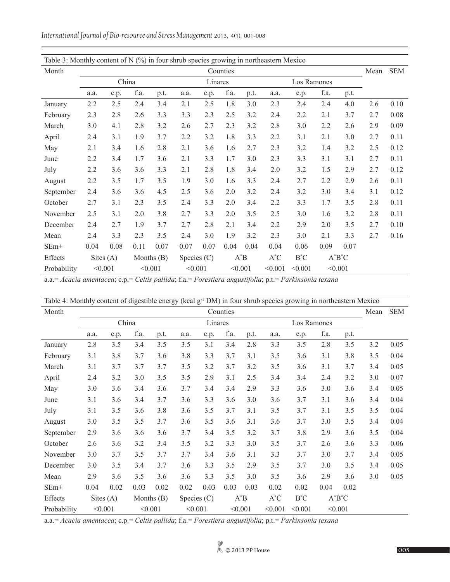*International Journal of Bio-resource and Stress Management* 2013, 4(1): 001-008

| Table 3: Monthly content of $N$ (%) in four shrub species growing in northeastern Mexico |          |             |              |      |               |      |         |      |         |             |         |           |      |            |
|------------------------------------------------------------------------------------------|----------|-------------|--------------|------|---------------|------|---------|------|---------|-------------|---------|-----------|------|------------|
| Month                                                                                    | Counties |             |              |      |               |      |         |      |         |             |         |           | Mean | <b>SEM</b> |
|                                                                                          |          | China       |              |      | Linares       |      |         |      |         | Los Ramones |         |           |      |            |
|                                                                                          | a.a.     | c.p.        | f.a.         | p.t. | a.a.          | c.p. | f.a.    | p.t. | a.a.    | c.p.        | f.a.    | p.t.      |      |            |
| January                                                                                  | 2.2      | 2.5         | 2.4          | 3.4  | 2.1           | 2.5  | 1.8     | 3.0  | 2.3     | 2.4         | 2.4     | 4.0       | 2.6  | 0.10       |
| February                                                                                 | 2.3      | 2.8         | 2.6          | 3.3  | 3.3           | 2.3  | 2.5     | 3.2  | 2.4     | 2.2         | 2.1     | 3.7       | 2.7  | 0.08       |
| March                                                                                    | 3.0      | 4.1         | 2.8          | 3.2  | 2.6           | 2.7  | 2.3     | 3.2  | 2.8     | 3.0         | 2.2     | 2.6       | 2.9  | 0.09       |
| April                                                                                    | 2.4      | 3.1         | 1.9          | 3.7  | 2.2           | 3.2  | 1.8     | 3.3  | 2.2     | 3.1         | 2.1     | 3.0       | 2.7  | 0.11       |
| May                                                                                      | 2.1      | 3.4         | 1.6          | 2.8  | 2.1           | 3.6  | 1.6     | 2.7  | 2.3     | 3.2         | 1.4     | 3.2       | 2.5  | 0.12       |
| June                                                                                     | 2.2      | 3.4         | 1.7          | 3.6  | 2.1           | 3.3  | 1.7     | 3.0  | 2.3     | 3.3         | 3.1     | 3.1       | 2.7  | 0.11       |
| July                                                                                     | 2.2      | 3.6         | 3.6          | 3.3  | 2.1           | 2.8  | 1.8     | 3.4  | 2.0     | 3.2         | 1.5     | 2.9       | 2.7  | 0.12       |
| August                                                                                   | 2.2      | 3.5         | 1.7          | 3.5  | 1.9           | 3.0  | 1.6     | 3.3  | 2.4     | 2.7         | 2.2     | 2.9       | 2.6  | 0.11       |
| September                                                                                | 2.4      | 3.6         | 3.6          | 4.5  | 2.5           | 3.6  | 2.0     | 3.2  | 2.4     | 3.2         | 3.0     | 3.4       | 3.1  | 0.12       |
| October                                                                                  | 2.7      | 3.1         | 2.3          | 3.5  | 2.4           | 3.3  | 2.0     | 3.4  | 2.2     | 3.3         | 1.7     | 3.5       | 2.8  | 0.11       |
| November                                                                                 | 2.5      | 3.1         | 2.0          | 3.8  | 2.7           | 3.3  | 2.0     | 3.5  | 2.5     | 3.0         | 1.6     | 3.2       | 2.8  | 0.11       |
| December                                                                                 | 2.4      | 2.7         | 1.9          | 3.7  | 2.7           | 2.8  | 2.1     | 3.4  | 2.2     | 2.9         | 2.0     | 3.5       | 2.7  | 0.10       |
| Mean                                                                                     | 2.4      | 3.3         | 2.3          | 3.5  | 2.4           | 3.0  | 1.9     | 3.2  | 2.3     | 3.0         | 2.1     | 3.3       | 2.7  | 0.16       |
| $SEm\pm$                                                                                 | 0.04     | 0.08        | 0.11         | 0.07 | 0.07          | 0.07 | 0.04    | 0.04 | 0.04    | 0.06        | 0.09    | 0.07      |      |            |
| Effects                                                                                  |          | Sites $(A)$ | Months $(B)$ |      | Species $(C)$ |      | $A^*B$  |      | $A^*C$  | $B^*C$      |         | $A^*B^*C$ |      |            |
| Probability                                                                              | < 0.001  |             | < 0.001      |      | < 0.001       |      | < 0.001 |      | < 0.001 | < 0.001     | < 0.001 |           |      |            |

a.a.= *Acacia amentacea*; c.p.= *Celtis pallida*; f.a.= *Forestiera angustifolia*; p.t.= *Parkinsonia texana*

| Table 4: Monthly content of digestible energy (kcal g <sup>-1</sup> DM) in four shrub species growing in northeastern Mexico |         |             |         |              |               |         |          |        |         |             |         |           |     |            |
|------------------------------------------------------------------------------------------------------------------------------|---------|-------------|---------|--------------|---------------|---------|----------|--------|---------|-------------|---------|-----------|-----|------------|
| Month                                                                                                                        |         |             |         |              |               |         | Counties |        |         |             |         |           |     | <b>SEM</b> |
|                                                                                                                              |         | China       |         |              |               | Linares |          |        |         | Los Ramones |         |           |     |            |
|                                                                                                                              | a.a.    | c.p.        | f.a.    | p.t.         | a.a.          | c.p.    | f.a.     | p.t.   | a.a.    | c.p.        | f.a.    | p.t.      |     |            |
| January                                                                                                                      | 2.8     | 3.5         | 3.4     | 3.5          | 3.5           | 3.1     | 3.4      | 2.8    | 3.3     | 3.5         | 2.8     | 3.5       | 3.2 | 0.05       |
| February                                                                                                                     | 3.1     | 3.8         | 3.7     | 3.6          | 3.8           | 3.3     | 3.7      | 3.1    | 3.5     | 3.6         | 3.1     | 3.8       | 3.5 | 0.04       |
| March                                                                                                                        | 3.1     | 3.7         | 3.7     | 3.7          | 3.5           | 3.2     | 3.7      | 3.2    | 3.5     | 3.6         | 3.1     | 3.7       | 3.4 | 0.05       |
| April                                                                                                                        | 2.4     | 3.2         | 3.0     | 3.5          | 3.5           | 2.9     | 3.1      | 2.5    | 3.4     | 3.4         | 2.4     | 3.2       | 3.0 | 0.07       |
| May                                                                                                                          | 3.0     | 3.6         | 3.4     | 3.6          | 3.7           | 3.4     | 3.4      | 2.9    | 3.3     | 3.6         | 3.0     | 3.6       | 3.4 | 0.05       |
| June                                                                                                                         | 3.1     | 3.6         | 3.4     | 3.7          | 3.6           | 3.3     | 3.6      | 3.0    | 3.6     | 3.7         | 3.1     | 3.6       | 3.4 | 0.04       |
| July                                                                                                                         | 3.1     | 3.5         | 3.6     | 3.8          | 3.6           | 3.5     | 3.7      | 3.1    | 3.5     | 3.7         | 3.1     | 3.5       | 3.5 | 0.04       |
| August                                                                                                                       | 3.0     | 3.5         | 3.5     | 3.7          | 3.6           | 3.5     | 3.6      | 3.1    | 3.6     | 3.7         | 3.0     | 3.5       | 3.4 | 0.04       |
| September                                                                                                                    | 2.9     | 3.6         | 3.6     | 3.6          | 3.7           | 3.4     | 3.5      | 3.2    | 3.7     | 3.8         | 2.9     | 3.6       | 3.5 | 0.04       |
| October                                                                                                                      | 2.6     | 3.6         | 3.2     | 3.4          | 3.5           | 3.2     | 3.3      | 3.0    | 3.5     | 3.7         | 2.6     | 3.6       | 3.3 | 0.06       |
| November                                                                                                                     | 3.0     | 3.7         | 3.5     | 3.7          | 3.7           | 3.4     | 3.6      | 3.1    | 3.3     | 3.7         | 3.0     | 3.7       | 3.4 | 0.05       |
| December                                                                                                                     | 3.0     | 3.5         | 3.4     | 3.7          | 3.6           | 3.3     | 3.5      | 2.9    | 3.5     | 3.7         | 3.0     | 3.5       | 3.4 | 0.05       |
| Mean                                                                                                                         | 2.9     | 3.6         | 3.5     | 3.6          | 3.6           | 3.3     | 3.5      | 3.0    | 3.5     | 3.6         | 2.9     | 3.6       | 3.0 | 0.05       |
| $SEm\pm$                                                                                                                     | 0.04    | 0.02        | 0.03    | 0.02         | 0.02          | 0.03    | 0.03     | 0.03   | 0.02    | 0.02        | 0.04    | 0.02      |     |            |
| Effects                                                                                                                      |         | Sites $(A)$ |         | Months $(B)$ | Species $(C)$ |         |          | $A^*B$ | $A^*C$  | $B^*C$      |         | $A^*B^*C$ |     |            |
| Probability                                                                                                                  | < 0.001 |             | < 0.001 |              | < 0.001       |         | < 0.001  |        | < 0.001 | < 0.001     | < 0.001 |           |     |            |

a.a.= *Acacia amentacea*; c.p.= *Celtis pallida*; f.a.= *Forestiera angustifolia*; p.t.= *Parkinsonia texana*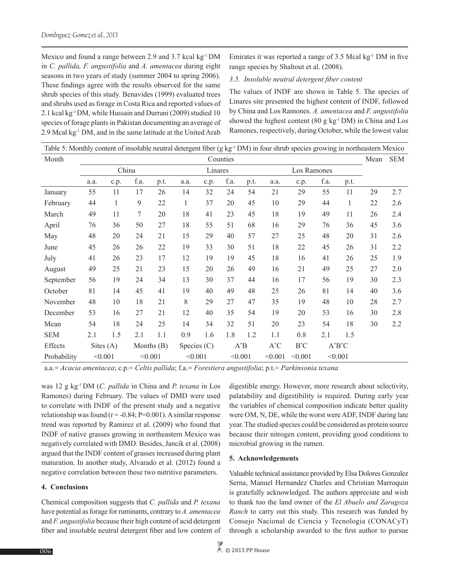Mexico and found a range between 2.9 and 3.7 kcal kg<sup>-1</sup> DM in *C. pallida, F. angustifolia* and *A. amentacea* during eight seasons in two years of study (summer 2004 to spring 2006). These findings agree with the results observed for the same shrub species of this study. Benavides (1999) evaluated trees and shrubs used as forage in Costa Rica and reported values of 2.1 kcal kg-1 DM, while Hussain and Durrani (2009) studied 10 species of forage plants in Pakistan documenting an average of 2.9 Mcal kg-1 DM, and in the same latitude at the United Arab

Emirates it was reported a range of  $3.5$  Mcal kg<sup>-1</sup> DM in five range species by Shaltout et al. (2008).

# *3.5. Insoluble neutral detergent fiber content*

The values of INDF are shown in Table 5. The species of Linares site presented the highest content of INDF, followed by China and Los Ramones. *A. amentacea* and *F. angustifolia* showed the highest content (80 g kg $^{-1}$ DM) in China and Los Ramones, respectively, during October, while the lowest value

| Table 5: Monthly content of insoluble neutral detergent fiber (g $kg-1 DM$ ) in four shrub species growing in northeastern Mexico |          |             |         |              |               |         |         |      |                    |             |           |              |    |            |
|-----------------------------------------------------------------------------------------------------------------------------------|----------|-------------|---------|--------------|---------------|---------|---------|------|--------------------|-------------|-----------|--------------|----|------------|
| Month                                                                                                                             | Counties |             |         |              |               |         |         |      |                    |             |           |              |    | <b>SEM</b> |
|                                                                                                                                   |          | China       |         |              |               | Linares |         |      |                    | Los Ramones |           |              |    |            |
|                                                                                                                                   | a.a.     | c.p.        | f.a.    | p.t.         | a.a.          | c.p.    | f.a.    | p.t. | a.a.               | c.p.        | f.a.      | p.t.         |    |            |
| January                                                                                                                           | 55       | 11          | 17      | 26           | 14            | 32      | 24      | 54   | 21                 | 29          | 55        | 11           | 29 | 2.7        |
| February                                                                                                                          | 44       | 1           | 9       | 22           | $\mathbf{1}$  | 37      | 20      | 45   | 10                 | 29          | 44        | $\mathbf{1}$ | 22 | 2.6        |
| March                                                                                                                             | 49       | 11          | 7       | 20           | 18            | 41      | 23      | 45   | 18                 | 19          | 49        | 11           | 26 | 2.4        |
| April                                                                                                                             | 76       | 36          | 50      | 27           | 18            | 55      | 51      | 68   | 16                 | 29          | 76        | 36           | 45 | 3.6        |
| May                                                                                                                               | 48       | 20          | 24      | 21           | 15            | 29      | 40      | 57   | 27                 | 25          | 48        | 20           | 31 | 2.6        |
| June                                                                                                                              | 45       | 26          | 26      | 22           | 19            | 33      | 30      | 51   | 18                 | 22          | 45        | 26           | 31 | 2.2        |
| July                                                                                                                              | 41       | 26          | 23      | 17           | 12            | 19      | 19      | 45   | 18                 | 16          | 41        | 26           | 25 | 1.9        |
| August                                                                                                                            | 49       | 25          | 21      | 23           | 15            | 20      | 26      | 49   | 16                 | 21          | 49        | 25           | 27 | 2.0        |
| September                                                                                                                         | 56       | 19          | 24      | 34           | 13            | 30      | 37      | 44   | 16                 | 17          | 56        | 19           | 30 | 2.3        |
| October                                                                                                                           | 81       | 14          | 45      | 41           | 19            | 40      | 49      | 48   | 25                 | 26          | 81        | 14           | 40 | 3.6        |
| November                                                                                                                          | 48       | 10          | 18      | 21           | 8             | 29      | 27      | 47   | 35                 | 19          | 48        | 10           | 28 | 2.7        |
| December                                                                                                                          | 53       | 16          | 27      | 21           | 12            | 40      | 35      | 54   | 19                 | 20          | 53        | 16           | 30 | 2.8        |
| Mean                                                                                                                              | 54       | 18          | 24      | 25           | 14            | 34      | 32      | 51   | 20                 | 23          | 54        | 18           | 30 | 2.2        |
| <b>SEM</b>                                                                                                                        | 2.1      | 1.5         | 2.1     | 1.1          | 0.9           | 1.6     | 1.8     | 1.2  | 1.1                | 0.8         | 2.1       | 1.5          |    |            |
| Effects                                                                                                                           |          | Sites $(A)$ |         | Months $(B)$ | Species $(C)$ |         | $A^*B$  |      | $A^*C$<br>$B^*C$   |             | $A^*B^*C$ |              |    |            |
| Probability                                                                                                                       | < 0.001  |             | < 0.001 |              | < 0.001       |         | < 0.001 |      | < 0.001<br>< 0.001 |             | < 0.001   |              |    |            |

a.a.= *Acacia amentacea*; c.p.= *Celtis pallida*; f.a.= *Forestiera angustifolia*; p.t.= *Parkinsonia texana*

was 12 g kg-1 DM (*C. pallida* in China and *P. texana* in Los Ramones) during February. The values of DMD were used to correlate with INDF of the present study and a negative relationship was found  $(r = -0.84; P = 0.001)$ . A similar response trend was reported by Ramirez et al. (2009) who found that INDF of native grasses growing in northeastern Mexico was negatively correlated with DMD. Besides, Jancik et al. (2008) argued that the INDF content of grasses increased during plant maturation. In another study, Alvarado et al. (2012) found a negative correlation between these two nutritive parameters.

# **4. Conclusions**

Chemical composition suggests that *C. pallida* and *P. texana* have potential as forage for ruminants, contrary to *A. amentacea*  and *F. angustifolia* because their high content of acid detergent fiber and insoluble neutral detergent fiber and low content of digestible energy. However, more research about selectivity, palatability and digestibility is required. During early year the variables of chemical composition indicate better quality were OM, N, DE, while the worst were ADF, INDF during late year. The studied species could be considered as protein source because their nitrogen content, providing good conditions to microbial growing in the rumen.

# **5. Acknowledgements**

Valuable technical assistance provided by Elsa Dolores Gonzalez Serna, Manuel Hernandez Charles and Christian Marroquin is gratefully acknowledged. The authors appreciate and wish to thank too the land owner of the *El Abuelo and Zaragoza Ranch* to carry out this study. This research was funded by Consejo Nacional de Ciencia y Tecnologia (CONACyT) through a scholarship awarded to the first author to pursue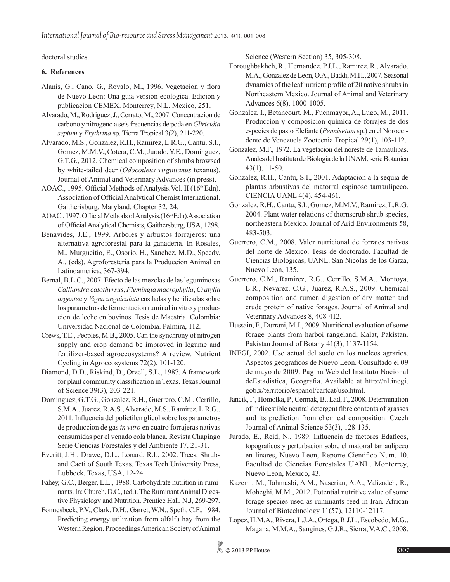doctoral studies.

# **6. References**

- Alanis, G., Cano, G., Rovalo, M., 1996. Vegetacion y flora de Nuevo Leon: Una guia version-ecologica. Edicion y publicacion CEMEX. Monterrey, N.L. Mexico, 251.
- Alvarado, M., Rodriguez, J., Cerrato, M., 2007. Concentracion de carbono y nitrogeno a seis frecuencias de poda en *Gliricidia sepium* y *Erythrina* sp. Tierra Tropical 3(2), 211-220.
- Alvarado, M.S., Gonzalez, R.H., Ramirez, L.R.G., Cantu, S.I., Gomez, M.M.V., Cotera, C.M., Jurado, Y.E., Dominguez, G.T.G., 2012. Chemical composition of shrubs browsed by white-tailed deer (*Odocoileus virginianus* texanus). Journal of Animal and Veterinary Advances (in press).
- AOAC., 1995. Official Methods of Analysis. Vol. II (16<sup>th</sup> Edn). Association of Official Analytical Chemist International. Gaitherisburg, Maryland. Chapter 32, 24.
- AOAC., 1997. Official Methods of Analysis. (16th Edn). Association of Official Analytical Chemists, Gaithersburg, USA, 1298.
- Benavides, J.E., 1999. Arboles y arbustos forrajeros: una alternativa agroforestal para la ganaderia. In Rosales, M., Murgueitio, E., Osorio, H., Sanchez, M.D., Speedy, A., (eds). Agroforesteria para la Produccion Animal en Latinoamerica, 367-394.
- Bernal, B.L.C., 2007. Efecto de las mezclas de las leguminosas *Calliandra calothyrsus*, *Flemingia macrophylla*, *Cratylia argentea* y *Vigna unguiculata* ensiladas y henificadas sobre los parametros de fermentacion ruminal in vitro y produccion de leche en bovinos. Tesis de Maestria. Colombia: Universidad Nacional de Colombia. Palmira, 112.
- Crews, T.E., Peoples, M.B., 2005. Can the synchrony of nitrogen supply and crop demand be improved in legume and fertilizer-based agroecosystems? A review. Nutrient Cycling in Agroecosystems 72(2), 101-120.
- Diamond, D.D., Riskind, D., Orzell, S.L., 1987. A framework for plant community classification in Texas. Texas Journal of Science 39(3), 203-221.
- Dominguez, G.T.G., Gonzalez, R.H., Guerrero, C.M., Cerrillo, S.M.A., Juarez, R.A.S., Alvarado, M.S., Ramirez, L.R.G., 2011. Influencia del polietilen glicol sobre los parametros de produccion de gas *in vitro* en cuatro forrajeras nativas consumidas por el venado cola blanca. Revista Chapingo Serie Ciencias Forestales y del Ambiente 17, 21-31.
- Everitt, J.H., Drawe, D.L., Lonard, R.I., 2002. Trees, Shrubs and Cacti of South Texas. Texas Tech University Press, Lubbock, Texas, USA, 12-24.
- Fahey, G.C., Berger, L.L., 1988. Carbohydrate nutrition in ruminants. In: Church, D.C., (ed.). The Ruminant Animal Digestive Physiology and Nutrition. Prentice Hall, N.J, 269-297.
- Fonnesbeck, P.V., Clark, D.H., Garret, W.N., Speth, C.F., 1984. Predicting energy utilization from alfalfa hay from the Western Region. Proceedings American Society of Animal

Science (Western Section) 35, 305-308.

- Foroughbakhch, R., Hernandez, P.J.L., Ramirez, R., Alvarado, M.A., Gonzalez de Leon, O.A., Baddi, M.H., 2007. Seasonal dynamics of the leaf nutrient profile of 20 native shrubs in Northeastern Mexico. Journal of Animal and Veterinary Advances 6(8), 1000-1005.
- Gonzalez, I., Betancourt, M., Fuenmayor, A., Lugo, M., 2011. Produccion y composicion quimica de forrajes de dos especies de pasto Elefante (*Pennisetum* sp.) en el Noroccidente de Venezuela Zootecnia Tropical 29(1), 103-112.
- Gonzalez, M.F., 1972. La vegetacion del noreste de Tamaulipas. Anales del Instituto de Biologia de la UNAM, serie Botanica 43(1), 11-50.
- Gonzalez, R.H., Cantu, S.I., 2001. Adaptacion a la sequia de plantas arbustivas del matorral espinoso tamaulipeco. CIENCIA UANL 4(4), 454-461.
- Gonzalez, R.H., Cantu, S.I., Gomez, M.M.V., Ramirez, L.R.G. 2004. Plant water relations of thornscrub shrub species, northeastern Mexico. Journal of Arid Environments 58, 483-503.
- Guerrero, C.M., 2008. Valor nutricional de forrajes nativos del norte de Mexico. Tesis de doctorado. Facultad de Ciencias Biologicas, UANL. San Nicolas de los Garza, Nuevo Leon, 135.
- Guerrero, C.M., Ramirez, R.G., Cerrillo, S.M.A., Montoya, E.R., Nevarez, C.G., Juarez, R.A.S., 2009. Chemical composition and rumen digestion of dry matter and crude protein of native forages. Journal of Animal and Veterinary Advances 8, 408-412.
- Hussain, F., Durrani, M.J., 2009. Nutritional evaluation of some forage plants from harboi rangeland, Kalat, Pakistan. Pakistan Journal of Botany 41(3), 1137-1154.
- INEGI, 2002. Uso actual del suelo en los nucleos agrarios. Aspectos geograficos de Nuevo Leon. Consultado el 09 de mayo de 2009. Pagina Web del Instituto Nacional deEstadistica, Geografia. Available at http://nl.inegi. gob.x/territorio/espanol/cartcat/uso.html.
- Jancik, F., Homolka, P., Cermak, B., Lad, F., 2008. Determination of indigestible neutral detergent fibre contents of grasses and its prediction from chemical composition. Czech Journal of Animal Science 53(3), 128-135.
- Jurado, E., Reid, N., 1989. Influencia de factores Edaficos, topograficos y perturbacion sobre el matorral tamaulipeco en linares, Nuevo Leon, Reporte Cientifico Num. 10. Facultad de Ciencias Forestales UANL. Monterrey, Nuevo Leon, Mexico, 43.
- Kazemi, M., Tahmasbi, A.M., Naserian, A.A., Valizadeh, R., Moheghi, M.M., 2012. Potential nutritive value of some forage species used as ruminants feed in Iran. African Journal of Biotechnology 11(57), 12110-12117.
- Lopez, H.M.A., Rivera, L.J.A., Ortega, R.J.L., Escobedo, M.G., Magana, M.M.A., Sangines, G.J.R., Sierra, V.A.C., 2008.